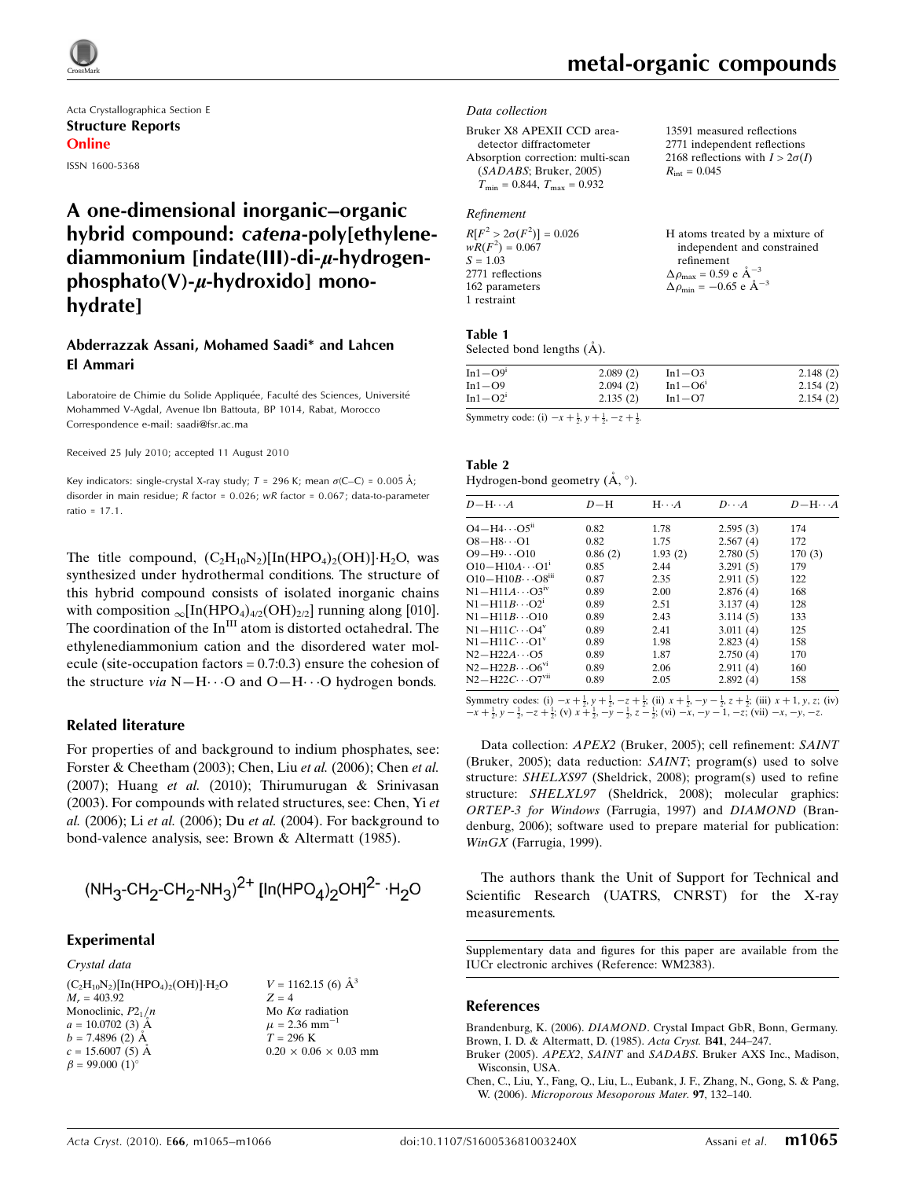

Acta Crystallographica Section E Structure Reports Online ISSN 1600-5368

# A one-dimensional inorganic–organic hybrid compound: catena-poly[ethylenediammonium [indate(III)-di- $\mu$ -hydrogen $phosphato(V)-\mu$ -hydroxido] monohydrate]

## Abderrazzak Assani, Mohamed Saadi\* and Lahcen El Ammari

Laboratoire de Chimie du Solide Appliquée, Faculté des Sciences, Université Mohammed V-Agdal, Avenue Ibn Battouta, BP 1014, Rabat, Morocco Correspondence e-mail: saadi@fsr.ac.ma

Received 25 July 2010; accepted 11 August 2010

Key indicators: single-crystal X-ray study;  $T = 296$  K; mean  $\sigma$ (C–C) = 0.005 Å; disorder in main residue; R factor = 0.026; wR factor = 0.067; data-to-parameter ratio = 17.1.

The title compound,  $(C_2H_{10}N_2)[\text{In}(\text{HPO}_4)_2(\text{OH})]\cdot H_2\text{O}$ , was synthesized under hydrothermal conditions. The structure of this hybrid compound consists of isolated inorganic chains with composition  $\infty$ [In(HPO<sub>4</sub>)<sub>4/2</sub>(OH)<sub>2/2</sub>] running along [010]. The coordination of the  $In<sup>III</sup>$  atom is distorted octahedral. The ethylenediammonium cation and the disordered water molecule (site-occupation factors  $= 0.7:0.3$ ) ensure the cohesion of the structure *via*  $N-H\cdots O$  and  $O-H\cdots O$  hydrogen bonds.

#### Related literature

For properties of and background to indium phosphates, see: Forster & Cheetham (2003); Chen, Liu et al. (2006); Chen et al. (2007); Huang et al. (2010); Thirumurugan & Srinivasan (2003). For compounds with related structures, see: Chen, Yi et al. (2006); Li et al. (2006); Du et al. (2004). For background to bond-valence analysis, see: Brown & Altermatt (1985).

$$
(\text{NH}_3\text{-}\text{CH}_2\text{-}\text{CH}_2\text{-}\text{NH}_3)^{2+}\left[\text{In}(\text{HPO}_4)_2\text{OH}\right]^{2-}\cdot\text{H}_2\text{O}
$$

#### Experimental

Crystal data  $(C_2H_{10}N_2)[In(HPO_4)_2(OH)]\cdot H_2O$  $M_r = 403.92$ Monoclinic,  $P2_1/n$  $a = 10.0702(3)$  Å  $b = 7.4896$  (2) A  $c = 15.6007(5)$  Å  $\beta = 99.000$  (1)<sup>o</sup>

```
V = 1162.15 (6) \AA^3Z = 4Mo K\alpha radiation
\mu = 2.36 mm<sup>-1</sup>
T = 296 K
0.20\,\times\,0.06\,\times\,0.03 mm
```
# metal-organic compounds

 $R_{\text{int}} = 0.045$ 

13591 measured reflections 2771 independent reflections 2168 reflections with  $I > 2\sigma(I)$ 

#### Data collection

Bruker X8 APEXII CCD areadetector diffractometer Absorption correction: multi-scan (SADABS; Bruker, 2005)  $T_{\text{min}} = 0.844$ ,  $T_{\text{max}} = 0.932$ 

### Refinement

| $R[F^2 > 2\sigma(F^2)] = 0.026$ | H atoms treated by a mixture of                    |
|---------------------------------|----------------------------------------------------|
| $wR(F^2) = 0.067$               | independent and constrained                        |
| $S = 1.03$                      | refinement                                         |
| 2771 reflections                | $\Delta \rho_{\text{max}} = 0.59 \text{ e A}^{-3}$ |
| 162 parameters                  | $\Delta \rho_{\rm min} = -0.65$ e $\rm \AA^{-3}$   |
| 1 restraint                     |                                                    |

#### Table 1

Selected bond lengths  $(\AA)$ .

| $In1-O9i$  | 2.089(2) | $In1-O3$  | 2.148(2) |
|------------|----------|-----------|----------|
| In $1-$ O9 | 2.094(2) | $In1-O6'$ | 2.154(2) |
| $In1-O21$  | 2.135(2) | $In1-O7$  | 2.154(2) |

Symmetry code: (i)  $-x + \frac{1}{2}$ ,  $y + \frac{1}{2}$ ,  $-z + \frac{1}{2}$ .

| Table 2                                            |  |
|----------------------------------------------------|--|
| Hydrogen-bond geometry $(\mathring{A}, \degree)$ . |  |

| $D - H \cdots A$                      | $D-H$   | $H\cdots A$ | $D\cdots A$ | $D - H \cdots A$ |
|---------------------------------------|---------|-------------|-------------|------------------|
| $O4 - H4 \cdots O5^{n}$               | 0.82    | 1.78        | 2.595(3)    | 174              |
| $O8 - H8 \cdots O1$                   | 0.82    | 1.75        | 2.567(4)    | 172              |
| $O9 - H9 \cdots O10$                  | 0.86(2) | 1.93(2)     | 2.780(5)    | 170(3)           |
| $O10 - H10A \cdots O1$ <sup>1</sup>   | 0.85    | 2.44        | 3.291(5)    | 179              |
| $O10 - H10B \cdots O8$ <sup>iii</sup> | 0.87    | 2.35        | 2.911(5)    | 122              |
| $N1 - H11A \cdots O3$ <sup>iv</sup>   | 0.89    | 2.00        | 2.876(4)    | 168              |
| $N1 - H11B \cdots O2^1$               | 0.89    | 2.51        | 3.137(4)    | 128              |
| $N1 - H11B \cdots 010$                | 0.89    | 2.43        | 3.114(5)    | 133              |
| $N1 - H11C \cdots Q4^V$               | 0.89    | 2.41        | 3.011(4)    | 125              |
| $N1 - H11C \cdots O1^v$               | 0.89    | 1.98        | 2.823(4)    | 158              |
| $N2-H22A\cdots$ O5                    | 0.89    | 1.87        | 2.750(4)    | 170              |
| $N2 - H22B \cdots 06^{v_1}$           | 0.89    | 2.06        | 2.911(4)    | 160              |
| $N2-H22C\cdots O7$ <sup>vn</sup>      | 0.89    | 2.05        | 2.892(4)    | 158              |
|                                       |         |             |             |                  |

Symmetry codes: (i)  $-x + \frac{1}{2}$ ,  $y + \frac{1}{2}$ ,  $-z + \frac{1}{2}$ ; (ii)  $x + \frac{1}{2}$ ,  $-y - \frac{1}{2}$ ,  $z + \frac{1}{2}$ ; (iii)  $x + 1$ ,  $y$ ,  $z$ ; (iv)  $-x + \frac{1}{2}$ ,  $y - \frac{1}{2}$ ,  $-z + \frac{1}{2}$ ; (v)  $x + \frac{1}{2}$ ,  $-y - \frac{1}{2}$ ,  $z - \frac{1}{2}$ ; (vi)  $-x$ 

Data collection: APEX2 (Bruker, 2005); cell refinement: SAINT (Bruker, 2005); data reduction: SAINT; program(s) used to solve structure: SHELXS97 (Sheldrick, 2008); program(s) used to refine structure: SHELXL97 (Sheldrick, 2008); molecular graphics: ORTEP-3 for Windows (Farrugia, 1997) and DIAMOND (Brandenburg, 2006); software used to prepare material for publication: WinGX (Farrugia, 1999).

The authors thank the Unit of Support for Technical and Scientific Research (UATRS, CNRST) for the X-ray measurements.

Supplementary data and figures for this paper are available from the IUCr electronic archives (Reference: WM2383).

#### References

Brandenburg, K. (2006). DIAMOND[. Crystal Impact GbR, Bonn, Germany.](https://scripts.iucr.org/cgi-bin/cr.cgi?rm=pdfbb&cnor=wm2383&bbid=BB1) [Brown, I. D. & Altermatt, D. \(1985\).](https://scripts.iucr.org/cgi-bin/cr.cgi?rm=pdfbb&cnor=wm2383&bbid=BB2) Acta Cryst. B41, 244–247.

- Bruker (2005). APEX2, SAINT and SADABS[. Bruker AXS Inc., Madison,](https://scripts.iucr.org/cgi-bin/cr.cgi?rm=pdfbb&cnor=wm2383&bbid=BB3) [Wisconsin, USA.](https://scripts.iucr.org/cgi-bin/cr.cgi?rm=pdfbb&cnor=wm2383&bbid=BB3)
- [Chen, C., Liu, Y., Fang, Q., Liu, L., Eubank, J. F., Zhang, N., Gong, S. & Pang,](https://scripts.iucr.org/cgi-bin/cr.cgi?rm=pdfbb&cnor=wm2383&bbid=BB4) W. (2006). [Microporous Mesoporous Mater.](https://scripts.iucr.org/cgi-bin/cr.cgi?rm=pdfbb&cnor=wm2383&bbid=BB4) 97, 132–140.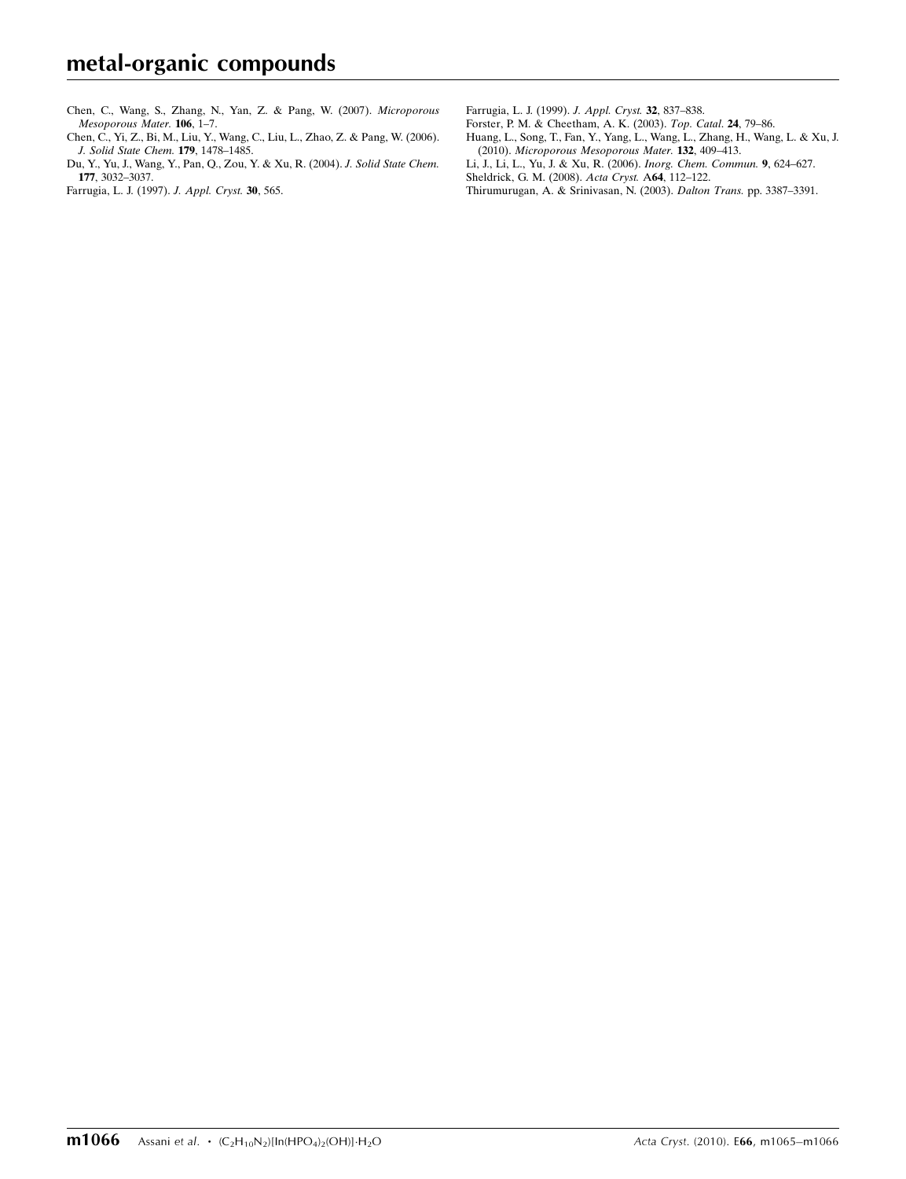[Chen, C., Wang, S., Zhang, N., Yan, Z. & Pang, W. \(2007\).](https://scripts.iucr.org/cgi-bin/cr.cgi?rm=pdfbb&cnor=wm2383&bbid=BB5) Microporous [Mesoporous Mater.](https://scripts.iucr.org/cgi-bin/cr.cgi?rm=pdfbb&cnor=wm2383&bbid=BB5) 106, 1–7.

[Chen, C., Yi, Z., Bi, M., Liu, Y., Wang, C., Liu, L., Zhao, Z. & Pang, W. \(2006\).](https://scripts.iucr.org/cgi-bin/cr.cgi?rm=pdfbb&cnor=wm2383&bbid=BB6) [J. Solid State Chem.](https://scripts.iucr.org/cgi-bin/cr.cgi?rm=pdfbb&cnor=wm2383&bbid=BB6) 179, 1478–1485.

[Du, Y., Yu, J., Wang, Y., Pan, Q., Zou, Y. & Xu, R. \(2004\).](https://scripts.iucr.org/cgi-bin/cr.cgi?rm=pdfbb&cnor=wm2383&bbid=BB7) J. Solid State Chem. 177[, 3032–3037.](https://scripts.iucr.org/cgi-bin/cr.cgi?rm=pdfbb&cnor=wm2383&bbid=BB7)

[Farrugia, L. J. \(1997\).](https://scripts.iucr.org/cgi-bin/cr.cgi?rm=pdfbb&cnor=wm2383&bbid=BB8) J. Appl. Cryst. 30, 565.

[Farrugia, L. J. \(1999\).](https://scripts.iucr.org/cgi-bin/cr.cgi?rm=pdfbb&cnor=wm2383&bbid=BB9) J. Appl. Cryst. 32, 837–838.

[Forster, P. M. & Cheetham, A. K. \(2003\).](https://scripts.iucr.org/cgi-bin/cr.cgi?rm=pdfbb&cnor=wm2383&bbid=BB10) Top. Catal. 24, 79–86.

[Huang, L., Song, T., Fan, Y., Yang, L., Wang, L., Zhang, H., Wang, L. & Xu, J.](https://scripts.iucr.org/cgi-bin/cr.cgi?rm=pdfbb&cnor=wm2383&bbid=BB11) (2010). [Microporous Mesoporous Mater.](https://scripts.iucr.org/cgi-bin/cr.cgi?rm=pdfbb&cnor=wm2383&bbid=BB11) 132, 409–413.

[Li, J., Li, L., Yu, J. & Xu, R. \(2006\).](https://scripts.iucr.org/cgi-bin/cr.cgi?rm=pdfbb&cnor=wm2383&bbid=BB12) Inorg. Chem. Commun. 9, 624–627.

[Sheldrick, G. M. \(2008\).](https://scripts.iucr.org/cgi-bin/cr.cgi?rm=pdfbb&cnor=wm2383&bbid=BB13) Acta Cryst. A64, 112–122.

[Thirumurugan, A. & Srinivasan, N. \(2003\).](https://scripts.iucr.org/cgi-bin/cr.cgi?rm=pdfbb&cnor=wm2383&bbid=BB14) Dalton Trans. pp. 3387–3391.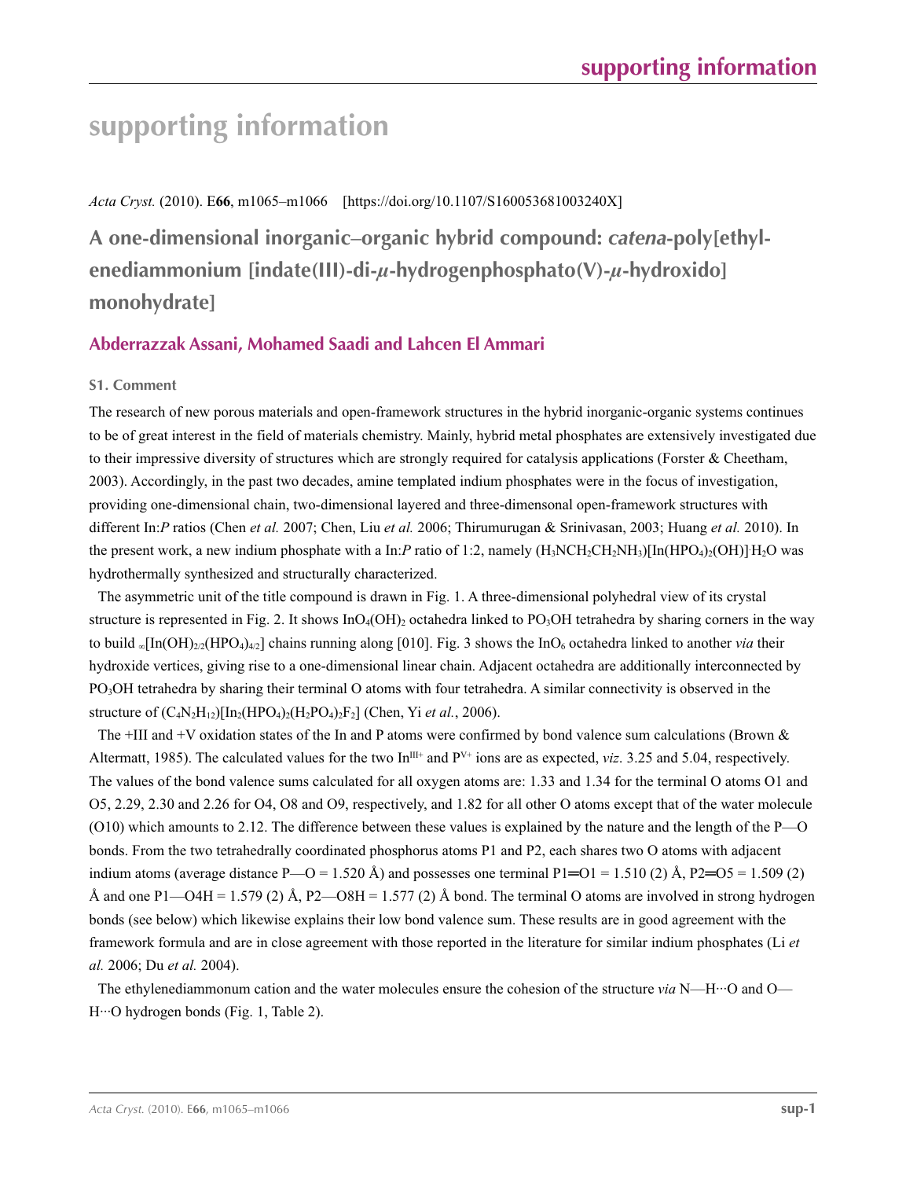# **supporting information**

*Acta Cryst.* (2010). E**66**, m1065–m1066 [https://doi.org/10.1107/S160053681003240X]

**A one-dimensional inorganic–organic hybrid compound:** *catena***-poly[ethylenediammonium [indate(III)-di-***µ***-hydrogenphosphato(V)-***µ***-hydroxido] monohydrate]**

# **Abderrazzak Assani, Mohamed Saadi and Lahcen El Ammari**

## **S1. Comment**

The research of new porous materials and open-framework structures in the hybrid inorganic-organic systems continues to be of great interest in the field of materials chemistry. Mainly, hybrid metal phosphates are extensively investigated due to their impressive diversity of structures which are strongly required for catalysis applications (Forster & Cheetham, 2003). Accordingly, in the past two decades, amine templated indium phosphates were in the focus of investigation, providing one-dimensional chain, two-dimensional layered and three-dimensonal open-framework structures with different In:*P* ratios (Chen *et al.* 2007; Chen, Liu *et al.* 2006; Thirumurugan & Srinivasan, 2003; Huang *et al.* 2010). In the present work, a new indium phosphate with a In:*P* ratio of 1:2, namely  $(H_3NCH_2CH_2NH_3)[In(HPO_4)_2(OH)]H_2O$  was hydrothermally synthesized and structurally characterized.

The asymmetric unit of the title compound is drawn in Fig. 1. A three-dimensional polyhedral view of its crystal structure is represented in Fig. 2. It shows  $InO_4(OH)_2$  octahedra linked to PO<sub>3</sub>OH tetrahedra by sharing corners in the way to build <sub>∞</sub>[In(OH)<sub>2/2</sub>(HPO<sub>4</sub>)<sub>4/2</sub>] chains running along [010]. Fig. 3 shows the InO<sub>6</sub> octahedra linked to another *via* their hydroxide vertices, giving rise to a one-dimensional linear chain. Adjacent octahedra are additionally interconnected by PO3OH tetrahedra by sharing their terminal O atoms with four tetrahedra. A similar connectivity is observed in the structure of  $(C_4N_2H_{12})[In_2(HPO_4)_2(H_2PO_4)_2F_2]$  (Chen, Yi *et al.*, 2006).

The +III and +V oxidation states of the In and P atoms were confirmed by bond valence sum calculations (Brown  $\&$ Altermatt, 1985). The calculated values for the two In<sup>III+</sup> and  $P<sup>V+</sup>$  ions are as expected, *viz*. 3.25 and 5.04, respectively. The values of the bond valence sums calculated for all oxygen atoms are: 1.33 and 1.34 for the terminal O atoms O1 and O5, 2.29, 2.30 and 2.26 for O4, O8 and O9, respectively, and 1.82 for all other O atoms except that of the water molecule (O10) which amounts to 2.12. The difference between these values is explained by the nature and the length of the P—O bonds. From the two tetrahedrally coordinated phosphorus atoms P1 and P2, each shares two O atoms with adjacent indium atoms (average distance P—O = 1.520 Å) and possesses one terminal P1=O1 = 1.510 (2) Å, P2=O5 = 1.509 (2) Å and one P1—O4H = 1.579 (2) Å, P2—O8H = 1.577 (2) Å bond. The terminal O atoms are involved in strong hydrogen bonds (see below) which likewise explains their low bond valence sum. These results are in good agreement with the framework formula and are in close agreement with those reported in the literature for similar indium phosphates (Li *et al.* 2006; Du *et al.* 2004).

The ethylenediammonum cation and the water molecules ensure the cohesion of the structure *via* N—H···O and O— H···O hydrogen bonds (Fig. 1, Table 2).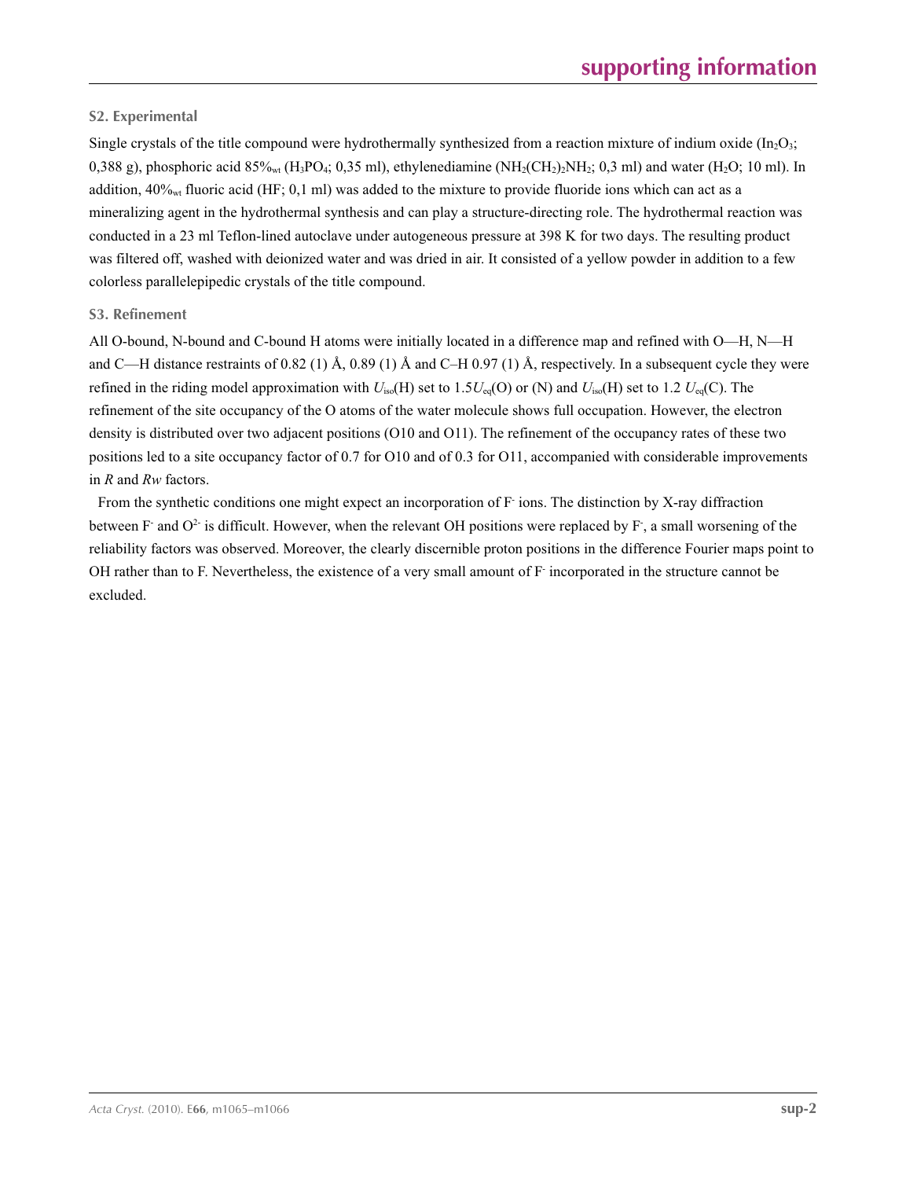# **S2. Experimental**

Single crystals of the title compound were hydrothermally synthesized from a reaction mixture of indium oxide ( $In_2O_3$ ; 0,388 g), phosphoric acid 85%<sub>wt</sub> (H<sub>3</sub>PO<sub>4</sub>; 0,35 ml), ethylenediamine (NH<sub>2</sub>(CH<sub>2</sub>)<sub>2</sub>NH<sub>2</sub>; 0,3 ml) and water (H<sub>2</sub>O; 10 ml). In addition,  $40\%_{\rm wt}$  fluoric acid (HF; 0,1 ml) was added to the mixture to provide fluoride ions which can act as a mineralizing agent in the hydrothermal synthesis and can play a structure-directing role. The hydrothermal reaction was conducted in a 23 ml Teflon-lined autoclave under autogeneous pressure at 398 K for two days. The resulting product was filtered off, washed with deionized water and was dried in air. It consisted of a yellow powder in addition to a few colorless parallelepipedic crystals of the title compound.

## **S3. Refinement**

All O-bound, N-bound and C-bound H atoms were initially located in a difference map and refined with O—H, N—H and C—H distance restraints of 0.82 (1) Å, 0.89 (1) Å and C–H 0.97 (1) Å, respectively. In a subsequent cycle they were refined in the riding model approximation with  $U_{iso}(H)$  set to 1.5 $U_{eq}(O)$  or (N) and  $U_{iso}(H)$  set to 1.2  $U_{eq}(C)$ . The refinement of the site occupancy of the O atoms of the water molecule shows full occupation. However, the electron density is distributed over two adjacent positions (O10 and O11). The refinement of the occupancy rates of these two positions led to a site occupancy factor of 0.7 for O10 and of 0.3 for O11, accompanied with considerable improvements in *R* and *Rw* factors.

From the synthetic conditions one might expect an incorporation of F ions. The distinction by X-ray diffraction between F and  $O^2$  is difficult. However, when the relevant OH positions were replaced by F, a small worsening of the reliability factors was observed. Moreover, the clearly discernible proton positions in the difference Fourier maps point to OH rather than to F. Nevertheless, the existence of a very small amount of F- incorporated in the structure cannot be excluded.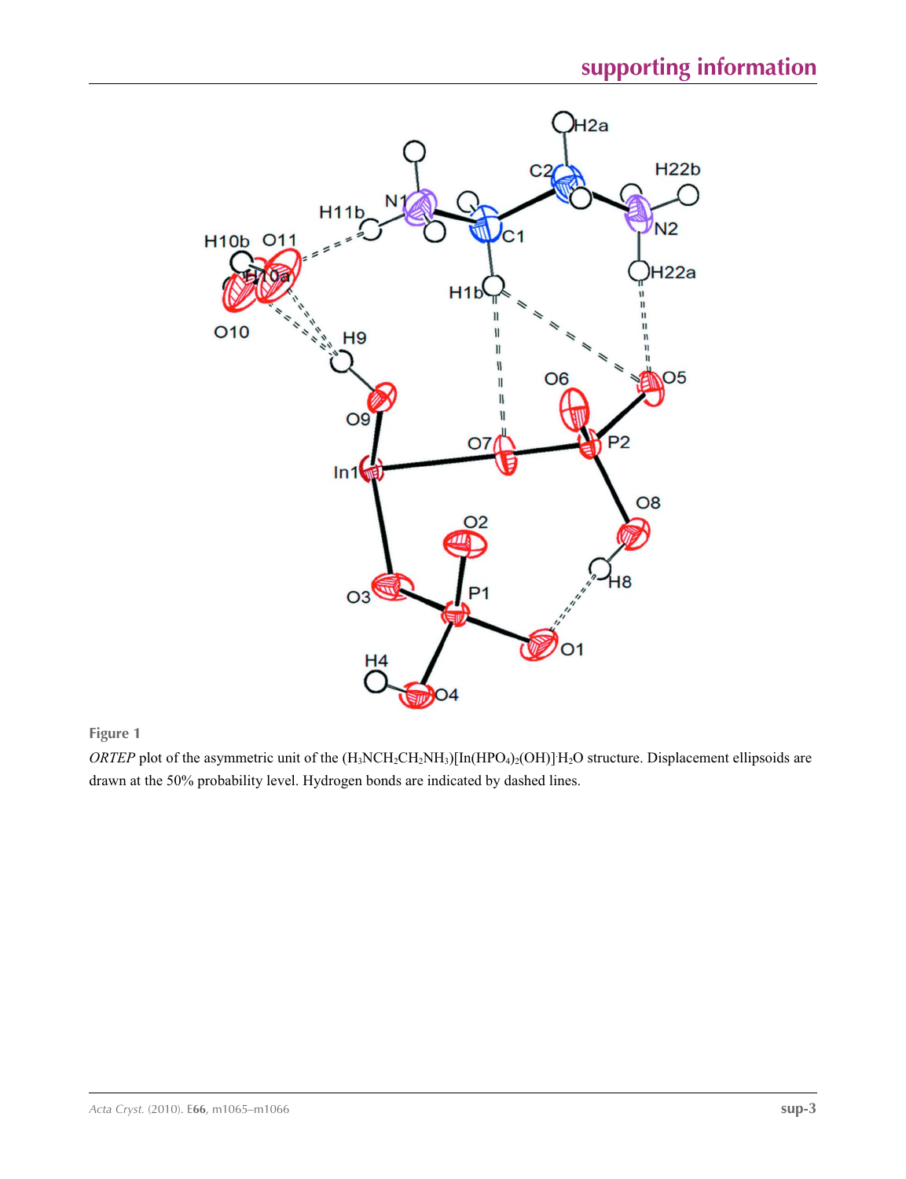

**Figure 1**

*ORTEP* plot of the asymmetric unit of the  $(H_3NCH_2CH_2NH_3)[In(HPO_4)_2(OH)]H_2O$  structure. Displacement ellipsoids are drawn at the 50% probability level. Hydrogen bonds are indicated by dashed lines.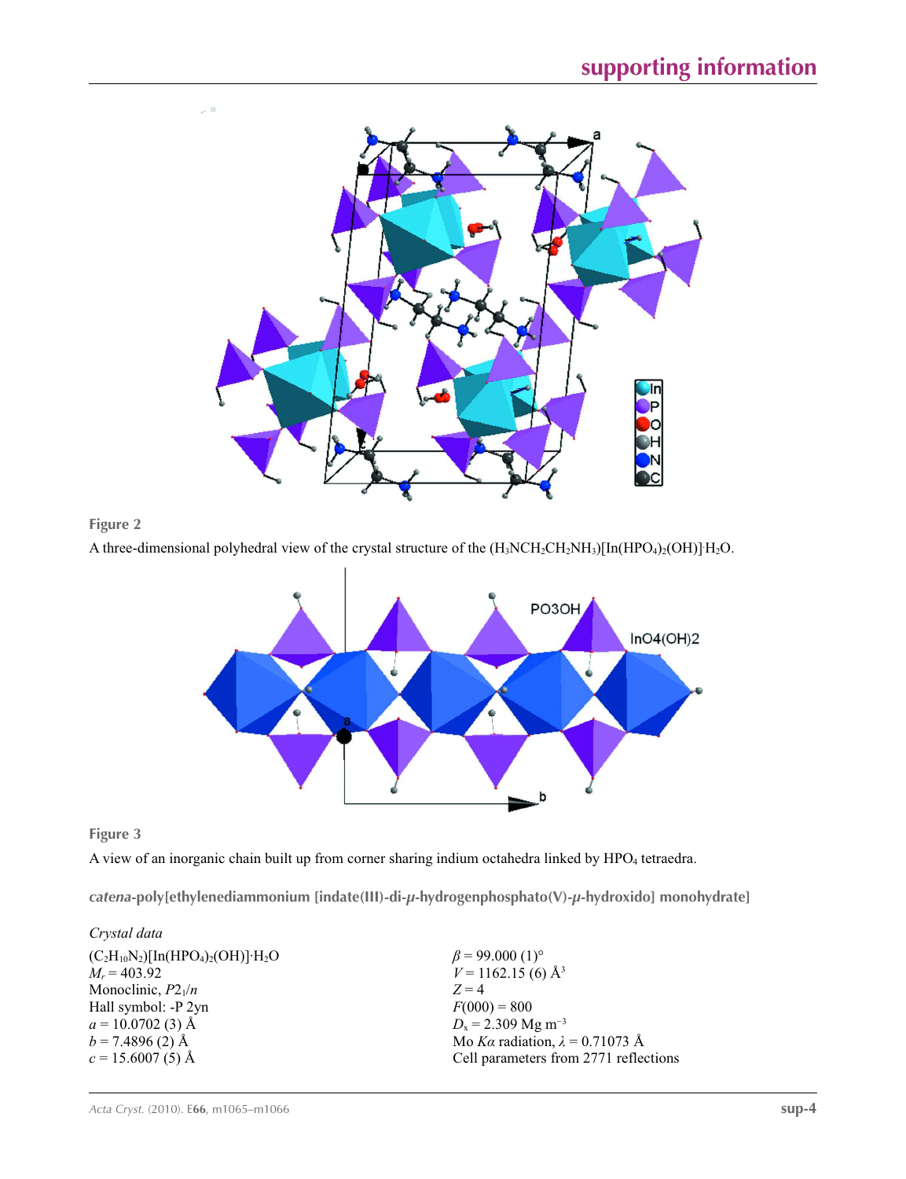



A three-dimensional polyhedral view of the crystal structure of the  $(H_3NCH_2CH_2NH_3)[In(HPO_4)_2(OH)]H_2O$ .



**Figure 3**

A view of an inorganic chain built up from corner sharing indium octahedra linked by HPO<sub>4</sub> tetraedra.

*catena***-poly[ethylenediammonium [indate(III)-di-***µ***-hydrogenphosphato(V)-***µ***-hydroxido] monohydrate]** 

### *Crystal data*

| $(C_2H_{10}N_2)[In(HPO_4)_2(OH)]$ <sup>.</sup> $H_2O$ | $\beta$ = 99.000 (1) <sup>o</sup>      |
|-------------------------------------------------------|----------------------------------------|
| $M_r = 403.92$                                        | $V = 1162.15$ (6) Å <sup>3</sup>       |
| Monoclinic, $P2_1/n$                                  | $Z=4$                                  |
| Hall symbol: -P 2yn                                   | $F(000) = 800$                         |
| $a = 10.0702$ (3) Å                                   | $D_x = 2.309$ Mg m <sup>-3</sup>       |
| $b = 7.4896(2)$ Å                                     | Mo Ka radiation, $\lambda = 0.71073$ Å |
| $c = 15.6007(5)$ Å                                    | Cell parameters from 2771 reflections  |
|                                                       |                                        |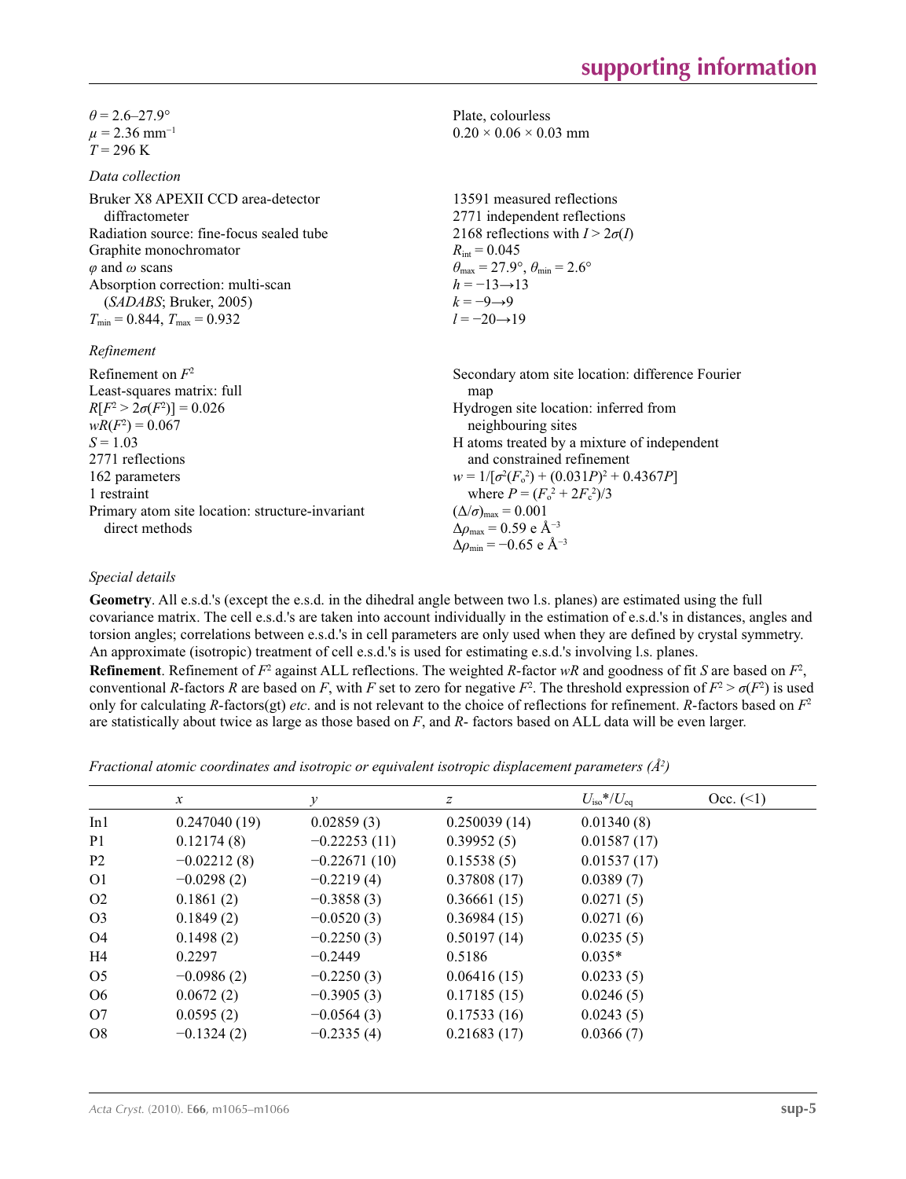$\theta$  = 2.6–27.9°  $\mu$  = 2.36 mm<sup>-1</sup>  $T = 296 \text{ K}$ 

#### *Data collection*

Bruker X8 APEXII CCD area-detector diffractometer Radiation source: fine-focus sealed tube Graphite monochromator *φ* and *ω* scans Absorption correction: multi-scan (*SADABS*; Bruker, 2005)  $T_{\min} = 0.844$ ,  $T_{\max} = 0.932$ 

# $R_{\alpha}$

| кеппетепт                                       |                                                   |
|-------------------------------------------------|---------------------------------------------------|
| Refinement on $F^2$                             | Secondary atom site location: difference Fourier  |
| Least-squares matrix: full                      | map                                               |
| $R[F^2 > 2\sigma(F^2)] = 0.026$                 | Hydrogen site location: inferred from             |
| $wR(F^2) = 0.067$                               | neighbouring sites                                |
| $S = 1.03$                                      | H atoms treated by a mixture of independent       |
| 2771 reflections                                | and constrained refinement                        |
| 162 parameters                                  | $w = 1/[\sigma^2(F_0^2) + (0.031P)^2 + 0.4367P]$  |
| 1 restraint                                     | where $P = (F_0^2 + 2F_c^2)/3$                    |
| Primary atom site location: structure-invariant | $(\Delta/\sigma)_{\text{max}} = 0.001$            |
| direct methods                                  | $\Delta\rho_{\text{max}} = 0.59 \text{ e A}^{-3}$ |
|                                                 | $\Delta \rho_{\rm min} = -0.65$ e Å <sup>-3</sup> |

#### *Special details*

**Geometry**. All e.s.d.'s (except the e.s.d. in the dihedral angle between two l.s. planes) are estimated using the full covariance matrix. The cell e.s.d.'s are taken into account individually in the estimation of e.s.d.'s in distances, angles and torsion angles; correlations between e.s.d.'s in cell parameters are only used when they are defined by crystal symmetry. An approximate (isotropic) treatment of cell e.s.d.'s is used for estimating e.s.d.'s involving l.s. planes.

Plate, colourless  $0.20 \times 0.06 \times 0.03$  mm

 $R_{\text{int}} = 0.045$ 

 $h = -13 \rightarrow 13$  $k = -9 \rightarrow 9$ *l* = −20→19

13591 measured reflections 2771 independent reflections 2168 reflections with  $I > 2\sigma(I)$ 

 $\theta_{\text{max}} = 27.9^{\circ}, \theta_{\text{min}} = 2.6^{\circ}$ 

**Refinement**. Refinement of  $F^2$  against ALL reflections. The weighted *R*-factor  $wR$  and goodness of fit *S* are based on  $F^2$ , conventional *R*-factors *R* are based on *F*, with *F* set to zero for negative  $F^2$ . The threshold expression of  $F^2 > \sigma(F^2)$  is used only for calculating *R*-factors(gt) *etc*. and is not relevant to the choice of reflections for refinement. *R*-factors based on *F*<sup>2</sup> are statistically about twice as large as those based on *F*, and *R*- factors based on ALL data will be even larger.

*Fractional atomic coordinates and isotropic or equivalent isotropic displacement parameters (Å<sup>2</sup>)* 

|                | $\mathcal{X}$ | v              | z            | $U_{\rm iso}*/U_{\rm eq}$ | Occ. (2) |
|----------------|---------------|----------------|--------------|---------------------------|----------|
| In1            | 0.247040(19)  | 0.02859(3)     | 0.250039(14) | 0.01340(8)                |          |
| P <sub>1</sub> | 0.12174(8)    | $-0.22253(11)$ | 0.39952(5)   | 0.01587(17)               |          |
| P <sub>2</sub> | $-0.02212(8)$ | $-0.22671(10)$ | 0.15538(5)   | 0.01537(17)               |          |
| O <sub>1</sub> | $-0.0298(2)$  | $-0.2219(4)$   | 0.37808(17)  | 0.0389(7)                 |          |
| O <sub>2</sub> | 0.1861(2)     | $-0.3858(3)$   | 0.36661(15)  | 0.0271(5)                 |          |
| O <sub>3</sub> | 0.1849(2)     | $-0.0520(3)$   | 0.36984(15)  | 0.0271(6)                 |          |
| O4             | 0.1498(2)     | $-0.2250(3)$   | 0.50197(14)  | 0.0235(5)                 |          |
| H4             | 0.2297        | $-0.2449$      | 0.5186       | $0.035*$                  |          |
| O <sub>5</sub> | $-0.0986(2)$  | $-0.2250(3)$   | 0.06416(15)  | 0.0233(5)                 |          |
| O <sub>6</sub> | 0.0672(2)     | $-0.3905(3)$   | 0.17185(15)  | 0.0246(5)                 |          |
| O7             | 0.0595(2)     | $-0.0564(3)$   | 0.17533(16)  | 0.0243(5)                 |          |
| O <sub>8</sub> | $-0.1324(2)$  | $-0.2335(4)$   | 0.21683(17)  | 0.0366(7)                 |          |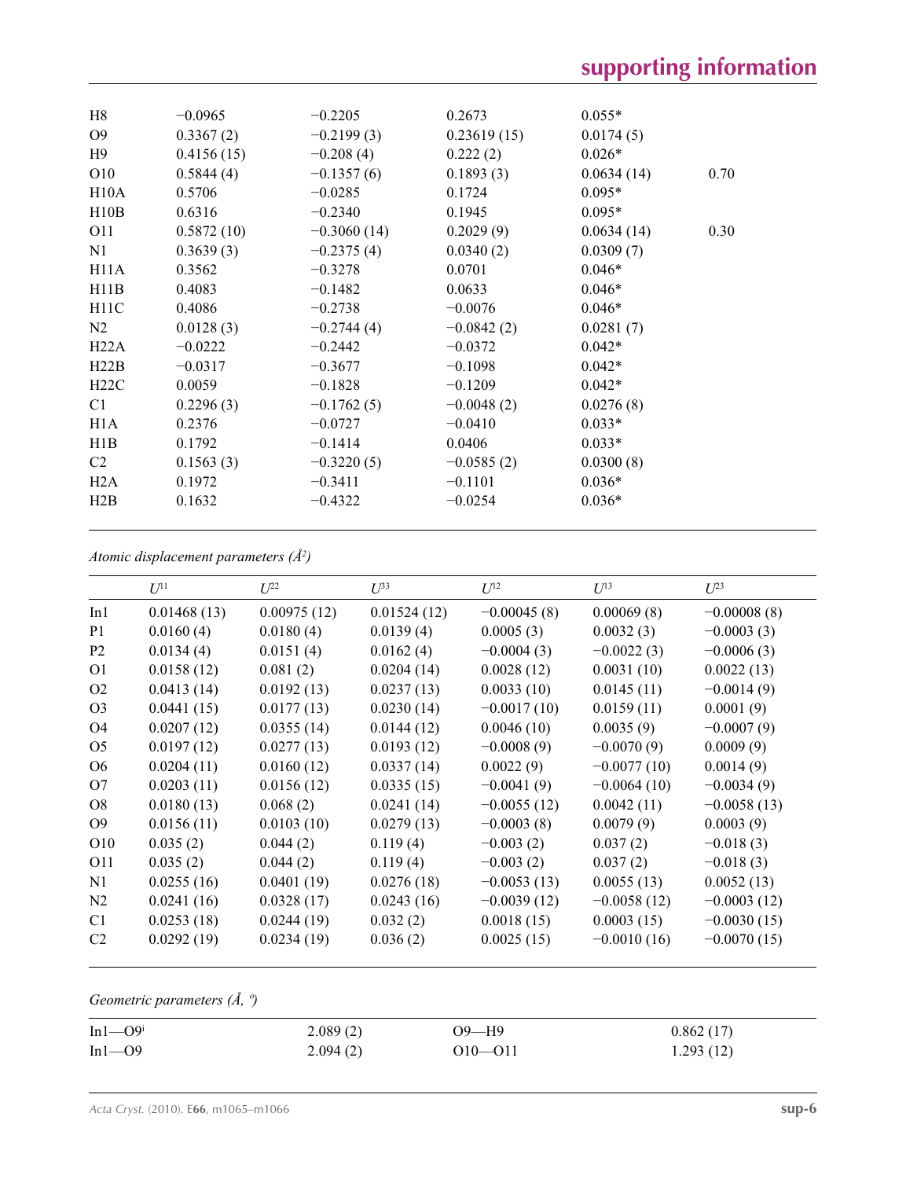| H8<br>O <sub>9</sub><br>H9<br>O10<br>H10A<br>H10B<br>O11<br>N1<br>H11A<br>H11B | $-0.0965$<br>0.3367(2)<br>0.4156(15)<br>0.5844(4)<br>0.5706<br>0.6316<br>0.5872(10)<br>0.3639(3)<br>0.3562<br>0.4083 | $-0.2205$<br>$-0.2199(3)$<br>$-0.208(4)$<br>$-0.1357(6)$<br>$-0.0285$<br>$-0.2340$<br>$-0.3060(14)$<br>$-0.2375(4)$<br>$-0.3278$ | 0.2673<br>0.23619(15)<br>0.222(2)<br>0.1893(3)<br>0.1724<br>0.1945<br>0.2029(9)<br>0.0340(2)<br>0.0701<br>0.0633 | $0.055*$<br>0.0174(5)<br>$0.026*$<br>0.0634(14)<br>0.70<br>$0.095*$<br>$0.095*$<br>0.0634(14)<br>0.30<br>0.0309(7)<br>$0.046*$<br>$0.046*$ |
|--------------------------------------------------------------------------------|----------------------------------------------------------------------------------------------------------------------|----------------------------------------------------------------------------------------------------------------------------------|------------------------------------------------------------------------------------------------------------------|--------------------------------------------------------------------------------------------------------------------------------------------|
| H11C                                                                           | 0.4086                                                                                                               | $-0.1482$<br>$-0.2738$                                                                                                           | $-0.0076$                                                                                                        | $0.046*$                                                                                                                                   |
| N2                                                                             | 0.0128(3)                                                                                                            | $-0.2744(4)$                                                                                                                     | $-0.0842(2)$                                                                                                     | 0.0281(7)                                                                                                                                  |
| H22A                                                                           | $-0.0222$                                                                                                            | $-0.2442$                                                                                                                        | $-0.0372$                                                                                                        | $0.042*$                                                                                                                                   |
| H22B                                                                           | $-0.0317$                                                                                                            | $-0.3677$                                                                                                                        | $-0.1098$                                                                                                        | $0.042*$                                                                                                                                   |
| H22C                                                                           | 0.0059                                                                                                               | $-0.1828$                                                                                                                        | $-0.1209$                                                                                                        | $0.042*$                                                                                                                                   |
| C1                                                                             | 0.2296(3)                                                                                                            | $-0.1762(5)$                                                                                                                     | $-0.0048(2)$                                                                                                     | 0.0276(8)                                                                                                                                  |
| H1A                                                                            | 0.2376                                                                                                               | $-0.0727$                                                                                                                        | $-0.0410$                                                                                                        | $0.033*$                                                                                                                                   |
| H1B                                                                            | 0.1792                                                                                                               | $-0.1414$                                                                                                                        | 0.0406                                                                                                           | $0.033*$                                                                                                                                   |
| C2                                                                             | 0.1563(3)                                                                                                            | $-0.3220(5)$                                                                                                                     | $-0.0585(2)$                                                                                                     | 0.0300(8)                                                                                                                                  |
| H2A                                                                            | 0.1972                                                                                                               | $-0.3411$                                                                                                                        | $-0.1101$                                                                                                        | $0.036*$                                                                                                                                   |
| H2B                                                                            | 0.1632                                                                                                               | $-0.4322$                                                                                                                        | $-0.0254$                                                                                                        | $0.036*$                                                                                                                                   |

*Atomic displacement parameters (Å2 )*

|                | $U^{11}$    | $U^{22}$    | $U^{33}$    | $U^{12}$      | $U^{13}$      | $U^{23}$      |
|----------------|-------------|-------------|-------------|---------------|---------------|---------------|
| In1            | 0.01468(13) | 0.00975(12) | 0.01524(12) | $-0.00045(8)$ | 0.00069(8)    | $-0.00008(8)$ |
| P <sub>1</sub> | 0.0160(4)   | 0.0180(4)   | 0.0139(4)   | 0.0005(3)     | 0.0032(3)     | $-0.0003(3)$  |
| P <sub>2</sub> | 0.0134(4)   | 0.0151(4)   | 0.0162(4)   | $-0.0004(3)$  | $-0.0022(3)$  | $-0.0006(3)$  |
| O <sub>1</sub> | 0.0158(12)  | 0.081(2)    | 0.0204(14)  | 0.0028(12)    | 0.0031(10)    | 0.0022(13)    |
| O <sub>2</sub> | 0.0413(14)  | 0.0192(13)  | 0.0237(13)  | 0.0033(10)    | 0.0145(11)    | $-0.0014(9)$  |
| O <sub>3</sub> | 0.0441(15)  | 0.0177(13)  | 0.0230(14)  | $-0.0017(10)$ | 0.0159(11)    | 0.0001(9)     |
| O <sub>4</sub> | 0.0207(12)  | 0.0355(14)  | 0.0144(12)  | 0.0046(10)    | 0.0035(9)     | $-0.0007(9)$  |
| O <sub>5</sub> | 0.0197(12)  | 0.0277(13)  | 0.0193(12)  | $-0.0008(9)$  | $-0.0070(9)$  | 0.0009(9)     |
| O <sub>6</sub> | 0.0204(11)  | 0.0160(12)  | 0.0337(14)  | 0.0022(9)     | $-0.0077(10)$ | 0.0014(9)     |
| O7             | 0.0203(11)  | 0.0156(12)  | 0.0335(15)  | $-0.0041(9)$  | $-0.0064(10)$ | $-0.0034(9)$  |
| O8             | 0.0180(13)  | 0.068(2)    | 0.0241(14)  | $-0.0055(12)$ | 0.0042(11)    | $-0.0058(13)$ |
| O <sub>9</sub> | 0.0156(11)  | 0.0103(10)  | 0.0279(13)  | $-0.0003(8)$  | 0.0079(9)     | 0.0003(9)     |
| O10            | 0.035(2)    | 0.044(2)    | 0.119(4)    | $-0.003(2)$   | 0.037(2)      | $-0.018(3)$   |
| <b>O11</b>     | 0.035(2)    | 0.044(2)    | 0.119(4)    | $-0.003(2)$   | 0.037(2)      | $-0.018(3)$   |
| N1             | 0.0255(16)  | 0.0401(19)  | 0.0276(18)  | $-0.0053(13)$ | 0.0055(13)    | 0.0052(13)    |
| N2             | 0.0241(16)  | 0.0328(17)  | 0.0243(16)  | $-0.0039(12)$ | $-0.0058(12)$ | $-0.0003(12)$ |
| C <sub>1</sub> | 0.0253(18)  | 0.0244(19)  | 0.032(2)    | 0.0018(15)    | 0.0003(15)    | $-0.0030(15)$ |
| C <sub>2</sub> | 0.0292(19)  | 0.0234(19)  | 0.036(2)    | 0.0025(15)    | $-0.0010(16)$ | $-0.0070(15)$ |
|                |             |             |             |               |               |               |

# *Geometric parameters (Å, º)*

| $In1 \rightarrow O9i$ | 2.089(2) | O9—H9   | 0.862(17) |  |
|-----------------------|----------|---------|-----------|--|
| In1—O9                | 2.094(2) | 010—011 | 1.293(12) |  |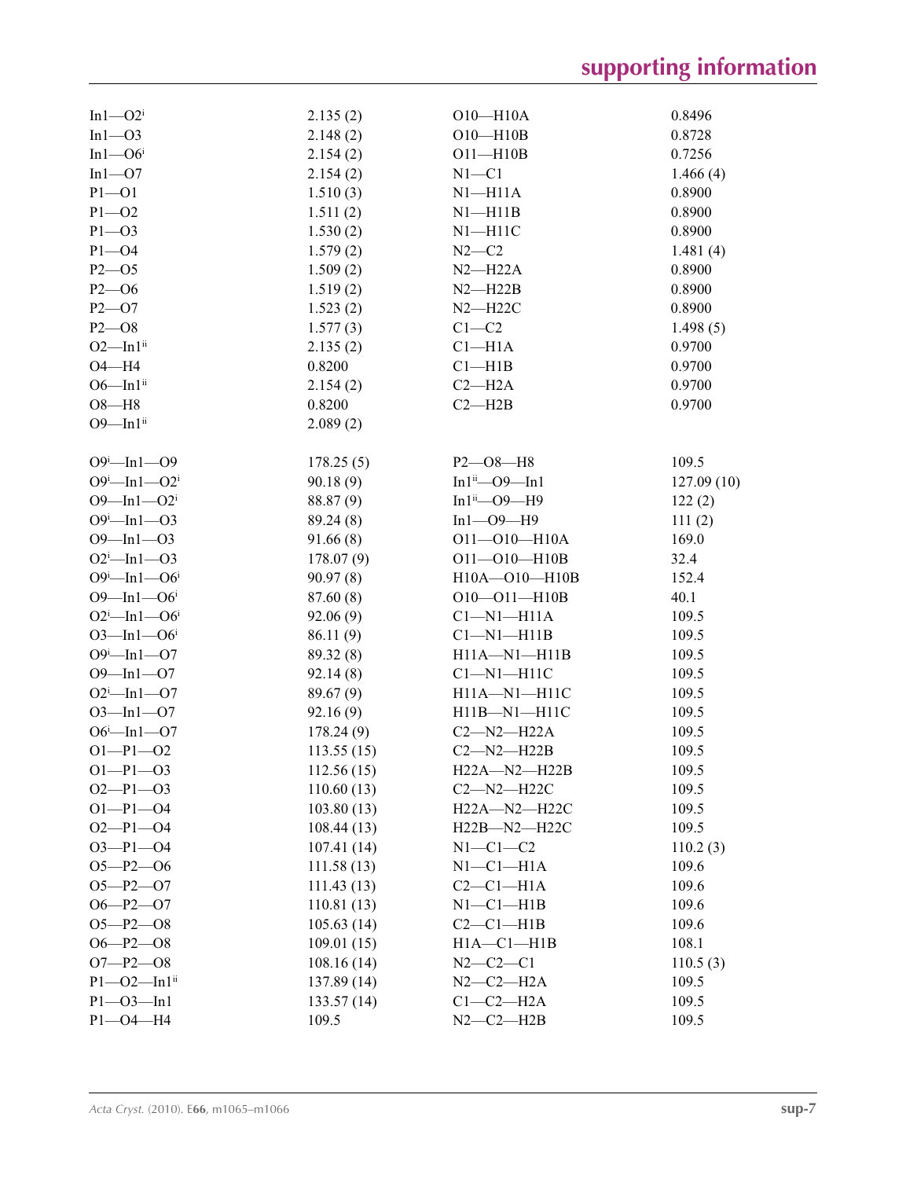| $In1-O2i$                 | 2.135(2)   | $O10 - H10A$              | 0.8496     |
|---------------------------|------------|---------------------------|------------|
| In1—O3                    | 2.148(2)   | $O10 - H10B$              | 0.8728     |
| In1—O6 <sup>i</sup>       | 2.154(2)   | $O11 - H10B$              | 0.7256     |
| In1—O7                    | 2.154(2)   | $N1 - C1$                 | 1.466(4)   |
| $P1 - O1$                 | 1.510(3)   | $N1 - H11A$               | 0.8900     |
| $P1 - O2$                 | 1.511(2)   | $N1 - H11B$               | 0.8900     |
| $P1 - O3$                 | 1.530(2)   | $N1 - H11C$               | 0.8900     |
| $P1 - O4$                 | 1.579(2)   | $N2-C2$                   | 1.481(4)   |
| $P2 - 05$                 | 1.509(2)   | $N2 - H22A$               | 0.8900     |
| $P2 - 06$                 | 1.519(2)   | $N2 - H22B$               | 0.8900     |
| $P2 - O7$                 | 1.523(2)   | $N2 - H22C$               | 0.8900     |
| $P2 - 08$                 | 1.577(3)   | $C1-C2$                   | 1.498(5)   |
| $O2$ —In $1ii$            | 2.135(2)   | $Cl-H1A$                  | 0.9700     |
| $O4 - H4$                 | 0.8200     | Cl—H1B                    | 0.9700     |
| $O6$ —In $1ii$            | 2.154(2)   | $C2 - H2A$                | 0.9700     |
| $O8 - H8$                 | 0.8200     | $C2 - H2B$                | 0.9700     |
| $O9$ -In $1ii$            |            |                           |            |
|                           | 2.089(2)   |                           |            |
| $O9^i$ -In1-09            | 178.25(5)  | $P2 - O8 - H8$            | 109.5      |
| $O9^i$ -In1- $O2^i$       | 90.18(9)   | $In1ii$ - O9 - In1        | 127.09(10) |
| $O9 - In1 - O2i$          | 88.87 (9)  | In $1^{\text{ii}}$ -O9-H9 | 122(2)     |
| $O9^i$ -In1- $O3$         | 89.24(8)   | $In1 - O9 - H9$           | 111(2)     |
| $O9$ -In1- $O3$           | 91.66(8)   | $O11 - O10 - H10A$        | 169.0      |
| $O2^i$ -In1- $O3$         | 178.07(9)  | $O11 - O10 - H10B$        | 32.4       |
| $O9^i$ -In1- $O6^i$       | 90.97(8)   | H10A-O10-H10B             | 152.4      |
| $O9$ —In1—O6 <sup>i</sup> | 87.60 (8)  | $O10 - O11 - H10B$        | 40.1       |
| $O2^i$ -In1- $O6^i$       | 92.06(9)   | $Cl-M1-H11A$              | 109.5      |
| $O3$ —In1—O6 <sup>i</sup> | 86.11 (9)  | $Cl-M1-H11B$              | 109.5      |
| $O9^i$ -In1- $O7$         |            |                           | 109.5      |
| $O9$ -In1- $O7$           | 89.32 (8)  | $H11A - N1 - H11B$        | 109.5      |
|                           | 92.14(8)   | $Cl-M1-H11C$              |            |
| $O2^i$ -In1- $O7$         | 89.67(9)   | $H11A - N1 - H11C$        | 109.5      |
| $O3$ -In1- $O7$           | 92.16(9)   | $H11B-M1-H11C$            | 109.5      |
| $O6^i$ -In1- $O7$         | 178.24(9)  | $C2-M2-H22A$              | 109.5      |
| $O1-P1-O2$                | 113.55(15) | $C2 - N2 - H22B$          | 109.5      |
| $O1 - P1 - O3$            | 112.56(15) | H22A-N2-H22B              | 109.5      |
| $O2-P1-O3$                | 110.60(13) | $C2 - N2 - H22C$          | 109.5      |
| $O1 - P1 - O4$            | 103.80(13) | H22A-N2-H22C              | 109.5      |
| $O2-P1-O4$                | 108.44(13) | H22B-N2-H22C              | 109.5      |
| $O3 - P1 - O4$            | 107.41(14) | $N1-C1-C2$                | 110.2(3)   |
| $O5 - P2 - O6$            | 111.58(13) | $N1-C1-H1A$               | 109.6      |
| $O5 - P2 - O7$            | 111.43(13) | $C2-C1-H1A$               | 109.6      |
| $O6 - P2 - O7$            | 110.81(13) | $N1-C1-H1B$               | 109.6      |
| $O5 - P2 - O8$            | 105.63(14) | $C2-C1-H1B$               | 109.6      |
| $O6 - P2 - O8$            | 109.01(15) | $H1A - C1 - H1B$          | 108.1      |
| $O7 - P2 - O8$            | 108.16(14) | $N2 - C2 - C1$            | 110.5(3)   |
| $P1 - O2 - In1ii$         | 137.89(14) | $N2-C2-H2A$               | 109.5      |
| $P1 - O3 - In1$           | 133.57(14) | $C1-C2-H2A$               | 109.5      |
| $P1 - O4 - H4$            | 109.5      | $N2-C2-H2B$               | 109.5      |